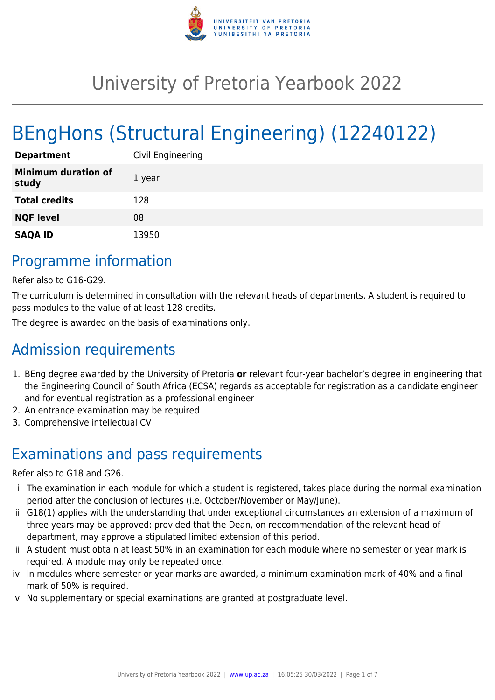

# University of Pretoria Yearbook 2022

# BEngHons (Structural Engineering) (12240122)

| <b>Department</b>                   | Civil Engineering |
|-------------------------------------|-------------------|
| <b>Minimum duration of</b><br>study | 1 year            |
| <b>Total credits</b>                | 128               |
| <b>NQF level</b>                    | 08                |
| <b>SAQA ID</b>                      | 13950             |

### Programme information

Refer also to G16-G29.

The curriculum is determined in consultation with the relevant heads of departments. A student is required to pass modules to the value of at least 128 credits.

The degree is awarded on the basis of examinations only.

## Admission requirements

- 1. BEng degree awarded by the University of Pretoria **or** relevant four-year bachelor's degree in engineering that the Engineering Council of South Africa (ECSA) regards as acceptable for registration as a candidate engineer and for eventual registration as a professional engineer
- 2. An entrance examination may be required
- 3. Comprehensive intellectual CV

# Examinations and pass requirements

Refer also to G18 and G26.

- i. The examination in each module for which a student is registered, takes place during the normal examination period after the conclusion of lectures (i.e. October/November or May/June).
- ii. G18(1) applies with the understanding that under exceptional circumstances an extension of a maximum of three years may be approved: provided that the Dean, on reccommendation of the relevant head of department, may approve a stipulated limited extension of this period.
- iii. A student must obtain at least 50% in an examination for each module where no semester or year mark is required. A module may only be repeated once.
- iv. In modules where semester or year marks are awarded, a minimum examination mark of 40% and a final mark of 50% is required.
- v. No supplementary or special examinations are granted at postgraduate level.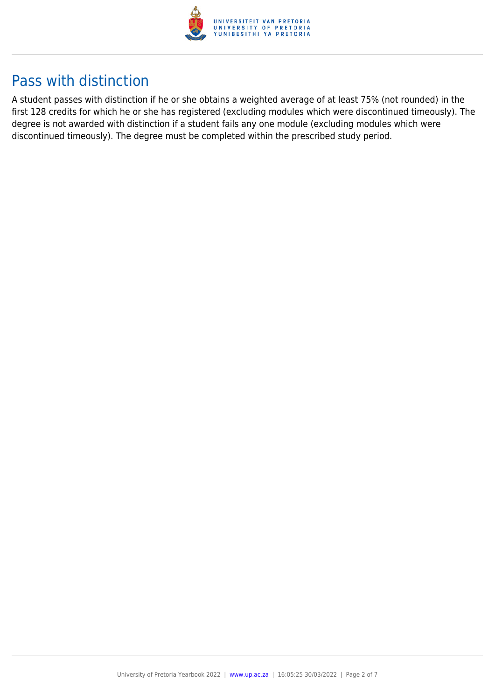

### Pass with distinction

A student passes with distinction if he or she obtains a weighted average of at least 75% (not rounded) in the first 128 credits for which he or she has registered (excluding modules which were discontinued timeously). The degree is not awarded with distinction if a student fails any one module (excluding modules which were discontinued timeously). The degree must be completed within the prescribed study period.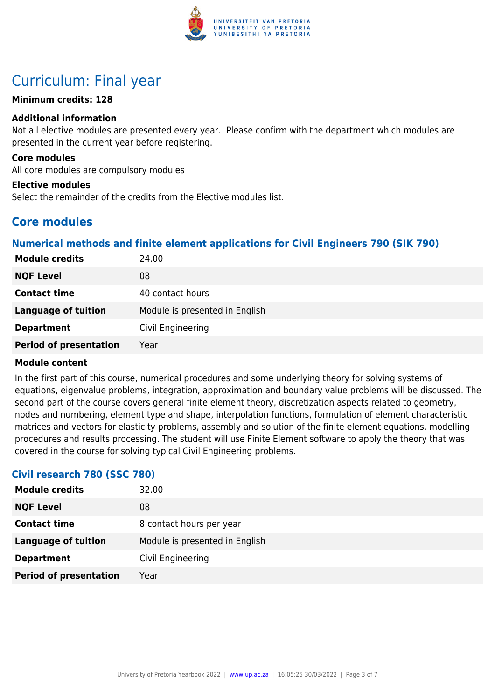

## Curriculum: Final year

#### **Minimum credits: 128**

#### **Additional information**

Not all elective modules are presented every year. Please confirm with the department which modules are presented in the current year before registering.

#### **Core modules**

All core modules are compulsory modules

#### **Elective modules**

Select the remainder of the credits from the Elective modules list.

### **Core modules**

#### **Numerical methods and finite element applications for Civil Engineers 790 (SIK 790)**

| <b>Module credits</b>         | 24.00                          |  |
|-------------------------------|--------------------------------|--|
| <b>NQF Level</b>              | 08                             |  |
| <b>Contact time</b>           | 40 contact hours               |  |
| <b>Language of tuition</b>    | Module is presented in English |  |
| <b>Department</b>             | Civil Engineering              |  |
| <b>Period of presentation</b> | Year                           |  |

#### **Module content**

In the first part of this course, numerical procedures and some underlying theory for solving systems of equations, eigenvalue problems, integration, approximation and boundary value problems will be discussed. The second part of the course covers general finite element theory, discretization aspects related to geometry, nodes and numbering, element type and shape, interpolation functions, formulation of element characteristic matrices and vectors for elasticity problems, assembly and solution of the finite element equations, modelling procedures and results processing. The student will use Finite Element software to apply the theory that was covered in the course for solving typical Civil Engineering problems.

#### **Civil research 780 (SSC 780)**

| <b>Module credits</b>         | 32.00                          |  |
|-------------------------------|--------------------------------|--|
| <b>NQF Level</b>              | 08                             |  |
| <b>Contact time</b>           | 8 contact hours per year       |  |
| <b>Language of tuition</b>    | Module is presented in English |  |
| <b>Department</b>             | Civil Engineering              |  |
| <b>Period of presentation</b> | Year                           |  |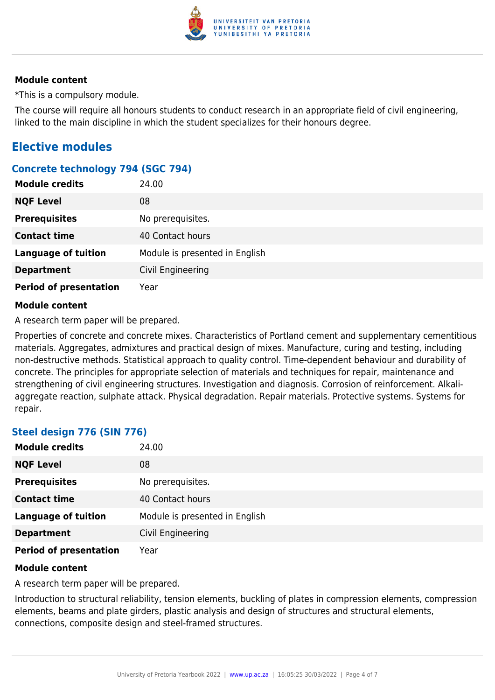

#### **Module content**

\*This is a compulsory module.

The course will require all honours students to conduct research in an appropriate field of civil engineering, linked to the main discipline in which the student specializes for their honours degree.

### **Elective modules**

#### **Concrete technology 794 (SGC 794)**

|                               | - - |                                |
|-------------------------------|-----|--------------------------------|
| <b>Module credits</b>         |     | 24.00                          |
| <b>NQF Level</b>              |     | 08                             |
| <b>Prerequisites</b>          |     | No prerequisites.              |
| <b>Contact time</b>           |     | 40 Contact hours               |
| <b>Language of tuition</b>    |     | Module is presented in English |
| <b>Department</b>             |     | Civil Engineering              |
| <b>Period of presentation</b> |     | Year                           |

#### **Module content**

A research term paper will be prepared.

Properties of concrete and concrete mixes. Characteristics of Portland cement and supplementary cementitious materials. Aggregates, admixtures and practical design of mixes. Manufacture, curing and testing, including non-destructive methods. Statistical approach to quality control. Time-dependent behaviour and durability of concrete. The principles for appropriate selection of materials and techniques for repair, maintenance and strengthening of civil engineering structures. Investigation and diagnosis. Corrosion of reinforcement. Alkaliaggregate reaction, sulphate attack. Physical degradation. Repair materials. Protective systems. Systems for repair.

#### **Steel design 776 (SIN 776)**

| <b>Module credits</b>         | 24.00                          |
|-------------------------------|--------------------------------|
| <b>NQF Level</b>              | 08                             |
| <b>Prerequisites</b>          | No prerequisites.              |
| <b>Contact time</b>           | 40 Contact hours               |
| <b>Language of tuition</b>    | Module is presented in English |
| <b>Department</b>             | Civil Engineering              |
| <b>Period of presentation</b> | Year                           |

#### **Module content**

A research term paper will be prepared.

Introduction to structural reliability, tension elements, buckling of plates in compression elements, compression elements, beams and plate girders, plastic analysis and design of structures and structural elements, connections, composite design and steel-framed structures.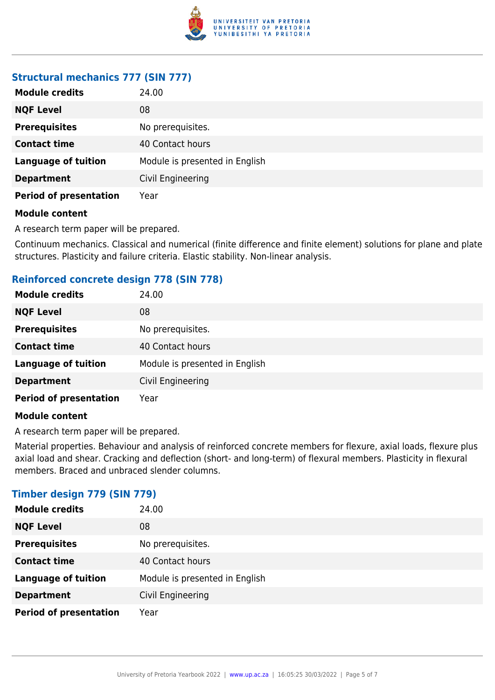

### **Structural mechanics 777 (SIN 777)**

| <b>Module credits</b>         | 24.00                          |  |
|-------------------------------|--------------------------------|--|
| <b>NQF Level</b>              | 08                             |  |
| <b>Prerequisites</b>          | No prerequisites.              |  |
| <b>Contact time</b>           | 40 Contact hours               |  |
| <b>Language of tuition</b>    | Module is presented in English |  |
| <b>Department</b>             | Civil Engineering              |  |
| <b>Period of presentation</b> | Year                           |  |

#### **Module content**

A research term paper will be prepared.

Continuum mechanics. Classical and numerical (finite difference and finite element) solutions for plane and plate structures. Plasticity and failure criteria. Elastic stability. Non-linear analysis.

#### **Reinforced concrete design 778 (SIN 778)**

| <b>Module credits</b>         | 24.00                          |  |
|-------------------------------|--------------------------------|--|
| <b>NQF Level</b>              | 08                             |  |
| <b>Prerequisites</b>          | No prerequisites.              |  |
| <b>Contact time</b>           | 40 Contact hours               |  |
| <b>Language of tuition</b>    | Module is presented in English |  |
| <b>Department</b>             | Civil Engineering              |  |
| <b>Period of presentation</b> | Year                           |  |

#### **Module content**

A research term paper will be prepared.

Material properties. Behaviour and analysis of reinforced concrete members for flexure, axial loads, flexure plus axial load and shear. Cracking and deflection (short- and long-term) of flexural members. Plasticity in flexural members. Braced and unbraced slender columns.

#### **Timber design 779 (SIN 779)**

| <b>Module credits</b>         | 24.00                          |  |
|-------------------------------|--------------------------------|--|
| <b>NQF Level</b>              | 08                             |  |
| <b>Prerequisites</b>          | No prerequisites.              |  |
| <b>Contact time</b>           | 40 Contact hours               |  |
| <b>Language of tuition</b>    | Module is presented in English |  |
| <b>Department</b>             | Civil Engineering              |  |
| <b>Period of presentation</b> | Year                           |  |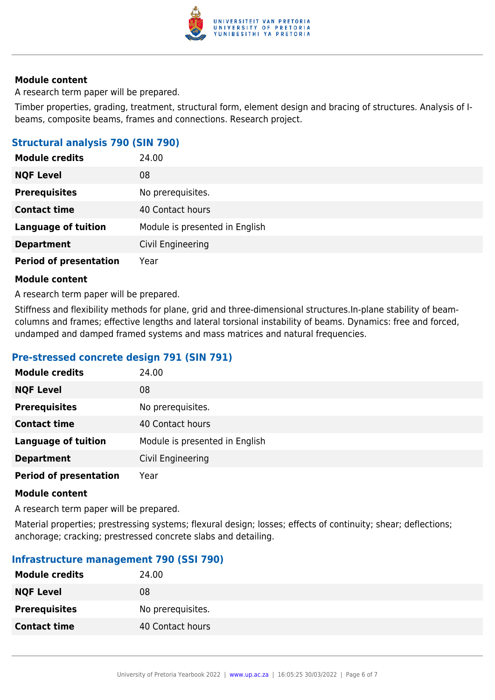

#### **Module content**

A research term paper will be prepared.

Timber properties, grading, treatment, structural form, element design and bracing of structures. Analysis of Ibeams, composite beams, frames and connections. Research project.

#### **Structural analysis 790 (SIN 790)**

| <b>Module credits</b>         | 24.00                          |  |
|-------------------------------|--------------------------------|--|
| <b>NQF Level</b>              | 08                             |  |
| <b>Prerequisites</b>          | No prerequisites.              |  |
| <b>Contact time</b>           | 40 Contact hours               |  |
| <b>Language of tuition</b>    | Module is presented in English |  |
| <b>Department</b>             | Civil Engineering              |  |
| <b>Period of presentation</b> | Year                           |  |

#### **Module content**

A research term paper will be prepared.

Stiffness and flexibility methods for plane, grid and three-dimensional structures.In-plane stability of beamcolumns and frames; effective lengths and lateral torsional instability of beams. Dynamics: free and forced, undamped and damped framed systems and mass matrices and natural frequencies.

#### **Pre-stressed concrete design 791 (SIN 791)**

| <b>Module credits</b>         | 24.00                          |
|-------------------------------|--------------------------------|
| <b>NQF Level</b>              | 08                             |
| <b>Prerequisites</b>          | No prerequisites.              |
| <b>Contact time</b>           | 40 Contact hours               |
| <b>Language of tuition</b>    | Module is presented in English |
| <b>Department</b>             | Civil Engineering              |
| <b>Period of presentation</b> | Year                           |

#### **Module content**

A research term paper will be prepared.

Material properties; prestressing systems; flexural design; losses; effects of continuity; shear; deflections; anchorage; cracking; prestressed concrete slabs and detailing.

#### **Infrastructure management 790 (SSI 790)**

| 24.00             |
|-------------------|
| 08                |
| No prerequisites. |
| 40 Contact hours  |
|                   |